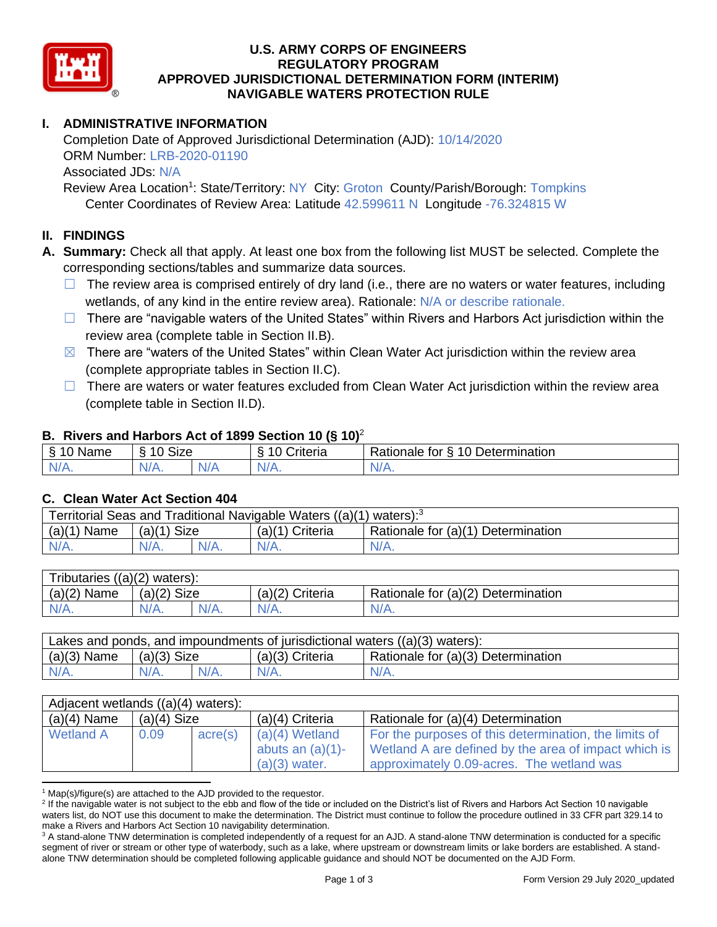

### **U.S. ARMY CORPS OF ENGINEERS REGULATORY PROGRAM APPROVED JURISDICTIONAL DETERMINATION FORM (INTERIM) NAVIGABLE WATERS PROTECTION RULE**

# **I. ADMINISTRATIVE INFORMATION**

Completion Date of Approved Jurisdictional Determination (AJD): 10/14/2020 ORM Number: LRB-2020-01190 Associated JDs: N/A Review Area Location<sup>1</sup>: State/Territory: NY City: Groton County/Parish/Borough: Tompkins

Center Coordinates of Review Area: Latitude 42.599611 N Longitude -76.324815 W

## **II. FINDINGS**

**A. Summary:** Check all that apply. At least one box from the following list MUST be selected. Complete the corresponding sections/tables and summarize data sources.

- $\Box$  The review area is comprised entirely of dry land (i.e., there are no waters or water features, including wetlands, of any kind in the entire review area). Rationale: N/A or describe rationale.
- $\Box$  There are "navigable waters of the United States" within Rivers and Harbors Act jurisdiction within the review area (complete table in Section II.B).
- $\boxtimes$  There are "waters of the United States" within Clean Water Act jurisdiction within the review area (complete appropriate tables in Section II.C).
- $\Box$  There are waters or water features excluded from Clean Water Act jurisdiction within the review area (complete table in Section II.D).

### **B. Rivers and Harbors Act of 1899 Section 10 (§ 10)**<sup>2</sup>

| $\cdot$          |                      |   |                                  |                                                      |  |
|------------------|----------------------|---|----------------------------------|------------------------------------------------------|--|
| S<br>$-$<br>Name | $\sim$<br>10<br>SIZE |   | .<br>۱O<br>-<br><i>∶</i> riteria | Determination<br>$\sqrt{ }$<br>-<br>tor<br>Rationale |  |
| $N/A$ .          | N/A.                 | . | N7<br>$\mathbf{v}$               | N/A.                                                 |  |

### **C. Clean Water Act Section 404**

| Territorial Seas and Traditional Navigable Waters $((a)(1)$ waters): <sup>3</sup> |                       |  |                   |                                    |  |
|-----------------------------------------------------------------------------------|-----------------------|--|-------------------|------------------------------------|--|
| (a)(1)<br>Name                                                                    | <b>Size</b><br>(a)(1) |  | $(a)(1)$ Criteria | Rationale for (a)(1) Determination |  |
| IV/A.                                                                             | $N/A$ .               |  | N/A.              | $N/A$ .                            |  |

| Tributaries $((a)(2)$ waters): |                |  |                   |                                    |  |  |
|--------------------------------|----------------|--|-------------------|------------------------------------|--|--|
| $(a)(2)$ Name                  | (a)(2)<br>Size |  | $(a)(2)$ Criteria | Rationale for (a)(2) Determination |  |  |
| $N/A$ .                        | $N/A$ .        |  | $N/A$ .           | N/A.                               |  |  |

| Lakes and ponds, and impoundments of jurisdictional waters $((a)(3)$ waters): |               |         |                   |                                    |  |
|-------------------------------------------------------------------------------|---------------|---------|-------------------|------------------------------------|--|
| $(a)(3)$ Name                                                                 | $(a)(3)$ Size |         | $(a)(3)$ Criteria | Rationale for (a)(3) Determination |  |
| $N/A$ .                                                                       | $N/A$ .       | $N/A$ . | $N/A$ .           | $N/A$ .                            |  |

| Adjacent wetlands ((a)(4) waters): |               |                  |                     |                                                       |  |
|------------------------------------|---------------|------------------|---------------------|-------------------------------------------------------|--|
| $(a)(4)$ Name                      | $(a)(4)$ Size |                  | (a)(4) Criteria     | Rationale for (a)(4) Determination                    |  |
| <b>Wetland A</b>                   | 0.09          | $\text{acre}(s)$ | $(a)(4)$ Wetland    | For the purposes of this determination, the limits of |  |
|                                    |               |                  | abuts an $(a)(1)$ - | Wetland A are defined by the area of impact which is  |  |
|                                    |               |                  | $(a)(3)$ water.     | approximately 0.09-acres. The wetland was             |  |

 $1$  Map(s)/figure(s) are attached to the AJD provided to the requestor.

<sup>&</sup>lt;sup>2</sup> If the navigable water is not subject to the ebb and flow of the tide or included on the District's list of Rivers and Harbors Act Section 10 navigable waters list, do NOT use this document to make the determination. The District must continue to follow the procedure outlined in 33 CFR part 329.14 to make a Rivers and Harbors Act Section 10 navigability determination.

<sup>&</sup>lt;sup>3</sup> A stand-alone TNW determination is completed independently of a request for an AJD. A stand-alone TNW determination is conducted for a specific segment of river or stream or other type of waterbody, such as a lake, where upstream or downstream limits or lake borders are established. A standalone TNW determination should be completed following applicable guidance and should NOT be documented on the AJD Form.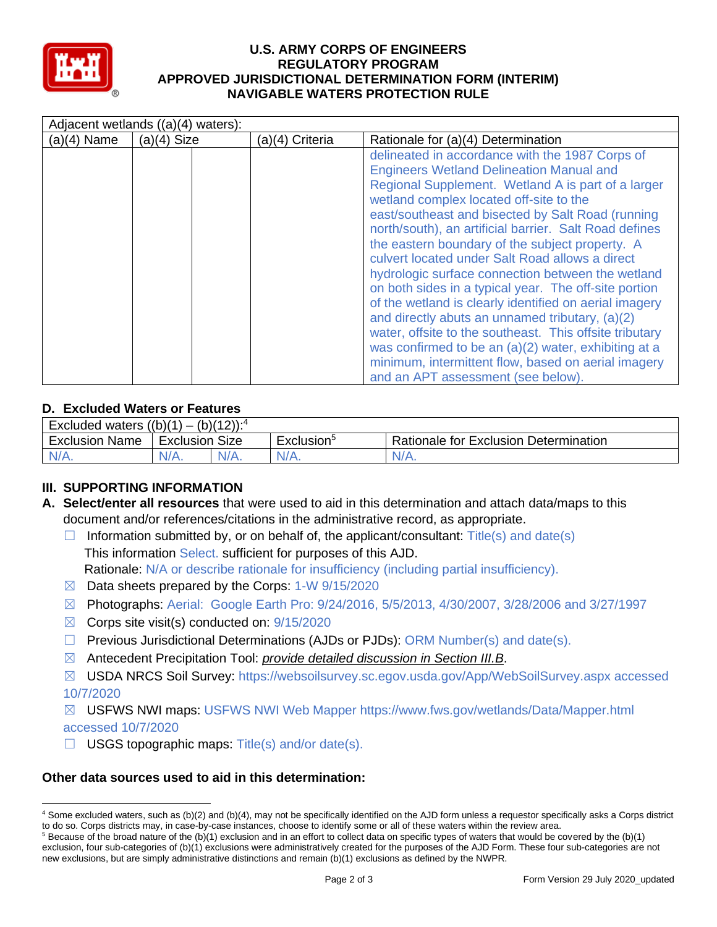

### **U.S. ARMY CORPS OF ENGINEERS REGULATORY PROGRAM APPROVED JURISDICTIONAL DETERMINATION FORM (INTERIM) NAVIGABLE WATERS PROTECTION RULE**

| Adjacent wetlands ((a)(4) waters): |               |                 |                                                                                                                                                                                                                                                                                                                                                                                                                                                                                                                                                                                                                                                                                                                                                                                                                                                                     |  |
|------------------------------------|---------------|-----------------|---------------------------------------------------------------------------------------------------------------------------------------------------------------------------------------------------------------------------------------------------------------------------------------------------------------------------------------------------------------------------------------------------------------------------------------------------------------------------------------------------------------------------------------------------------------------------------------------------------------------------------------------------------------------------------------------------------------------------------------------------------------------------------------------------------------------------------------------------------------------|--|
| $(a)(4)$ Name                      | $(a)(4)$ Size | (a)(4) Criteria | Rationale for (a)(4) Determination                                                                                                                                                                                                                                                                                                                                                                                                                                                                                                                                                                                                                                                                                                                                                                                                                                  |  |
|                                    |               |                 | delineated in accordance with the 1987 Corps of<br><b>Engineers Wetland Delineation Manual and</b><br>Regional Supplement. Wetland A is part of a larger<br>wetland complex located off-site to the<br>east/southeast and bisected by Salt Road (running<br>north/south), an artificial barrier. Salt Road defines<br>the eastern boundary of the subject property. A<br>culvert located under Salt Road allows a direct<br>hydrologic surface connection between the wetland<br>on both sides in a typical year. The off-site portion<br>of the wetland is clearly identified on aerial imagery<br>and directly abuts an unnamed tributary, (a)(2)<br>water, offsite to the southeast. This offsite tributary<br>was confirmed to be an (a)(2) water, exhibiting at a<br>minimum, intermittent flow, based on aerial imagery<br>and an APT assessment (see below). |  |

# **D. Excluded Waters or Features**

| $(b)(12))$ : <sup>4</sup><br>` ((b)(1) ر<br><b>Excluded waters</b><br>- |                   |         |                        |                                              |  |
|-------------------------------------------------------------------------|-------------------|---------|------------------------|----------------------------------------------|--|
| Exclusion<br>Name                                                       | Size<br>Exclusion |         | Exclusion <sup>3</sup> | <b>Rationale for Exclusion Determination</b> |  |
| IN/A.                                                                   | N/A.              | $N/A$ . | $N/A$ .                | $N/A$ .                                      |  |

# **III. SUPPORTING INFORMATION**

- **A. Select/enter all resources** that were used to aid in this determination and attach data/maps to this document and/or references/citations in the administrative record, as appropriate.
	- $\Box$  Information submitted by, or on behalf of, the applicant/consultant: Title(s) and date(s) This information Select. sufficient for purposes of this AJD. Rationale: N/A or describe rationale for insufficiency (including partial insufficiency).
	- $\boxtimes$  Data sheets prepared by the Corps: 1-W 9/15/2020
	- ☒ Photographs: Aerial: Google Earth Pro: 9/24/2016, 5/5/2013, 4/30/2007, 3/28/2006 and 3/27/1997
	- $\boxtimes$  Corps site visit(s) conducted on: 9/15/2020
	- $\Box$  Previous Jurisdictional Determinations (AJDs or PJDs): ORM Number(s) and date(s).
	- ☒ Antecedent Precipitation Tool: *provide detailed discussion in Section III.B*.
	- ☒ USDA NRCS Soil Survey: https://websoilsurvey.sc.egov.usda.gov/App/WebSoilSurvey.aspx accessed 10/7/2020

### ☒ USFWS NWI maps: USFWS NWI Web Mapper https://www.fws.gov/wetlands/Data/Mapper.html accessed 10/7/2020

 $\Box$  USGS topographic maps: Title(s) and/or date(s).

### **Other data sources used to aid in this determination:**

<sup>4</sup> Some excluded waters, such as (b)(2) and (b)(4), may not be specifically identified on the AJD form unless a requestor specifically asks a Corps district to do so. Corps districts may, in case-by-case instances, choose to identify some or all of these waters within the review area.

 $5$  Because of the broad nature of the (b)(1) exclusion and in an effort to collect data on specific types of waters that would be covered by the (b)(1) exclusion, four sub-categories of (b)(1) exclusions were administratively created for the purposes of the AJD Form. These four sub-categories are not new exclusions, but are simply administrative distinctions and remain (b)(1) exclusions as defined by the NWPR.